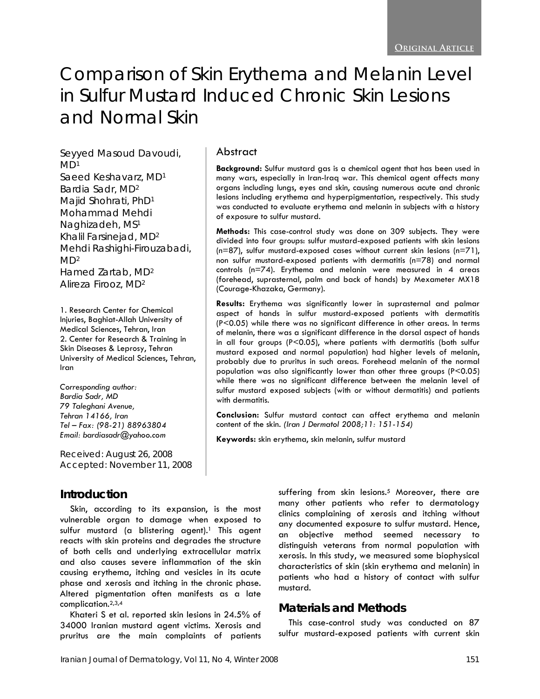# Comparison of Skin Erythema and Melanin Level in Sulfur Mustard Induced Chronic Skin Lesions and Normal Skin

Seyyed Masoud Davoudi,  $MD<sup>1</sup>$ Saeed Keshavarz, MD1 Bardia Sadr, MD2 Majid Shohrati, PhD1 Mohammad Mehdi Naghizadeh, MS1 Khalil Farsinejad, MD2 Mehdi Rashighi-Firouzabadi,  $MD<sup>2</sup>$ Hamed Zartab, MD2 Alireza Firooz, MD2

1. Research Center for Chemical Injuries, Baghiat-Allah University of Medical Sciences, Tehran, Iran 2. Center for Research & Training in Skin Diseases & Leprosy, Tehran University of Medical Sciences, Tehran, Iran

*Corresponding author: Bardia Sadr, MD 79 Taleghani Avenue, Tehran 14166, Iran Tel – Fax: (98-21) 88963804 Email: bardiasadr@yahoo.com* 

Received: August 26, 2008 Accepted: November 11, 2008

#### **Introduction**

Skin, according to its expansion, is the most vulnerable organ to damage when exposed to sulfur mustard (a blistering agent).<sup>1</sup> This agent reacts with skin proteins and degrades the structure of both cells and underlying extracellular matrix and also causes severe inflammation of the skin causing erythema, itching and vesicles in its acute phase and xerosis and itching in the chronic phase. Altered pigmentation often manifests as a late complication.2,3,4

Khateri S et al. reported skin lesions in 24.5% of 34000 Iranian mustard agent victims. Xerosis and pruritus are the main complaints of patients

#### suffering from skin lesions.<sup>5</sup> Moreover, there are many other patients who refer to dermatology clinics complaining of xerosis and itching without any documented exposure to sulfur mustard. Hence, an objective method seemed necessary to distinguish veterans from normal population with xerosis. In this study, we measured some biophysical characteristics of skin (skin erythema and melanin) in patients who had a history of contact with sulfur mustard.

## **Materials and Methods**

This case-control study was conducted on 87 sulfur mustard-exposed patients with current skin

#### Abstract

**Background:** Sulfur mustard gas is a chemical agent that has been used in many wars, especially in Iran-Iraq war. This chemical agent affects many organs including lungs, eyes and skin, causing numerous acute and chronic lesions including erythema and hyperpigmentation, respectively. This study was conducted to evaluate erythema and melanin in subjects with a history of exposure to sulfur mustard.

**Methods:** This case-control study was done on 309 subjects. They were divided into four groups: sulfur mustard-exposed patients with skin lesions  $(n=87)$ , sulfur mustard-exposed cases without current skin lesions  $(n=71)$ , non sulfur mustard-exposed patients with dermatitis (n=78) and normal controls (n=74). Erythema and melanin were measured in 4 areas (forehead, suprasternal, palm and back of hands) by Mexameter MX18 (Courage-Khazaka, Germany).

**Results:** Erythema was significantly lower in suprasternal and palmar aspect of hands in sulfur mustard-exposed patients with dermatitis (P<0.05) while there was no significant difference in other areas. In terms of melanin, there was a significant difference in the dorsal aspect of hands in all four groups (P<0.05), where patients with dermatitis (both sulfur mustard exposed and normal population) had higher levels of melanin, probably due to pruritus in such areas. Forehead melanin of the normal population was also significantly lower than other three groups (P<0.05) while there was no significant difference between the melanin level of sulfur mustard exposed subjects (with or without dermatitis) and patients with dermatitis.

**Conclusion:** Sulfur mustard contact can affect erythema and melanin content of the skin. *(Iran J Dermatol 2008;11: 151-154)*

**Keywords:** skin erythema, skin melanin, sulfur mustard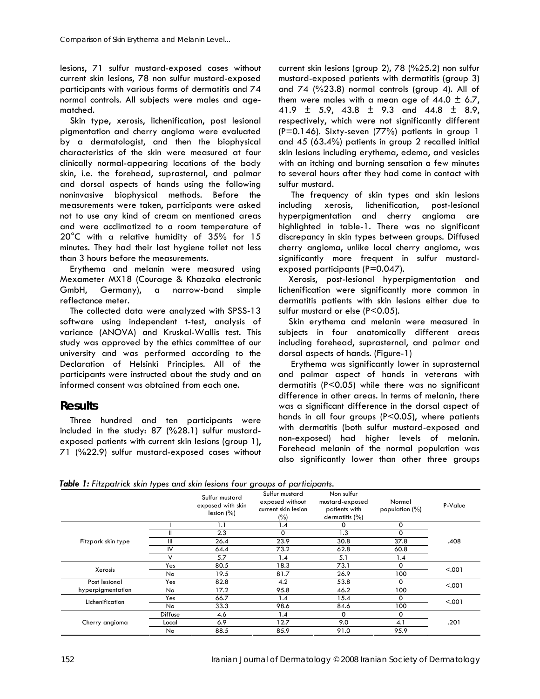lesions, 71 sulfur mustard-exposed cases without current skin lesions, 78 non sulfur mustard-exposed participants with various forms of dermatitis and 74 normal controls. All subjects were males and agematched.

Skin type, xerosis, lichenification, post lesional pigmentation and cherry angioma were evaluated by a dermatologist, and then the biophysical characteristics of the skin were measured at four clinically normal-appearing locations of the body skin, i.e. the forehead, suprasternal, and palmar and dorsal aspects of hands using the following noninvasive biophysical methods. Before the measurements were taken, participants were asked not to use any kind of cream on mentioned areas and were acclimatized to a room temperature of 20°C with a relative humidity of 35% for 15 minutes. They had their last hygiene toilet not less than 3 hours before the measurements.

Erythema and melanin were measured using Mexameter MX18 (Courage & Khazaka electronic GmbH, Germany), a narrow-band simple reflectance meter.

The collected data were analyzed with SPSS-13 software using independent t-test, analysis of variance (ANOVA) and Kruskal-Wallis test. This study was approved by the ethics committee of our university and was performed according to the Declaration of Helsinki Principles. All of the participants were instructed about the study and an informed consent was obtained from each one.

#### **Results**

Three hundred and ten participants were included in the study: 87 (%28.1) sulfur mustardexposed patients with current skin lesions (group 1), 71 (%22.9) sulfur mustard-exposed cases without current skin lesions (group 2), 78 (%25.2) non sulfur mustard-exposed patients with dermatitis (group 3) and 74 (%23.8) normal controls (group 4). All of them were males with a mean age of  $44.0 \pm 6.7$ , 41.9  $\pm$  5.9, 43.8  $\pm$  9.3 and 44.8  $\pm$  8.9, respectively, which were not significantly different (P=0.146). Sixty-seven (77%) patients in group 1 and 45 (63.4%) patients in group 2 recalled initial skin lesions including erythema, edema, and vesicles with an itching and burning sensation a few minutes to several hours after they had come in contact with sulfur mustard.

 The frequency of skin types and skin lesions including xerosis, lichenification, post-lesional hyperpigmentation and cherry angioma are highlighted in table-1. There was no significant discrepancy in skin types between groups. Diffused cherry angioma, unlike local cherry angioma, was significantly more frequent in sulfur mustardexposed participants (P=0.047).

Xerosis, post-lesional hyperpigmentation and lichenification were significantly more common in dermatitis patients with skin lesions either due to sulfur mustard or else (P<0.05).

Skin erythema and melanin were measured in subjects in four anatomically different areas including forehead, suprasternal, and palmar and dorsal aspects of hands. (Figure-1)

 Erythema was significantly lower in suprasternal and palmar aspect of hands in veterans with dermatitis (P<0.05) while there was no significant difference in other areas. In terms of melanin, there was a significant difference in the dorsal aspect of hands in all four groups (P<0.05), where patients with dermatitis (both sulfur mustard-exposed and non-exposed) had higher levels of melanin. Forehead melanin of the normal population was also significantly lower than other three groups

*Table 1: Fitzpatrick skin types and skin lesions four groups of participants.*

|                                    |                | Sulfur mustard<br>exposed with skin<br>lesion (%) | Sulfur mustard<br>exposed without<br>current skin lesion<br>(%) | Non sulfur<br>mustard-exposed<br>patients with<br>dermatitis (%) | Normal<br>population $(\%)$ | P-Value |
|------------------------------------|----------------|---------------------------------------------------|-----------------------------------------------------------------|------------------------------------------------------------------|-----------------------------|---------|
|                                    |                | 1.1                                               | 1.4                                                             | 0                                                                | 0                           |         |
|                                    | Ш              | 2.3                                               | 0                                                               | 1.3                                                              | $\Omega$                    |         |
| Fitzpark skin type                 | III            | 26.4                                              | 23.9                                                            | 30.8                                                             | 37.8                        | .408    |
|                                    | $\mathsf{IV}$  | 64.4                                              | 73.2                                                            | 62.8                                                             | 60.8                        |         |
|                                    |                | 5.7                                               | 1.4                                                             | 5.1                                                              | 1.4                         |         |
| Xerosis                            | Yes            | 80.5                                              | 18.3                                                            | 73.1                                                             | $\Omega$                    | < .001  |
|                                    | No             | 19.5                                              | 81.7                                                            | 26.9                                                             | 100                         |         |
| Post lesional<br>hyperpigmentation | Yes            | 82.8                                              | 4.2                                                             | 53.8                                                             | 0                           | < .001  |
|                                    | No             | 17.2                                              | 95.8                                                            | 46.2                                                             | 100                         |         |
| Lichenification                    | Yes            | 66.7                                              | 1.4                                                             | 15.4                                                             | 0                           | < .001  |
|                                    | <b>No</b>      | 33.3                                              | 98.6                                                            | 84.6                                                             | 100                         |         |
| Cherry angioma                     | <b>Diffuse</b> | 4.6                                               | 1.4                                                             | 0                                                                | 0                           | .201    |
|                                    | Local          | 6.9                                               | 12.7                                                            | 9.0                                                              | 4.1                         |         |
|                                    | No             | 88.5                                              | 85.9                                                            | 91.0                                                             | 95.9                        |         |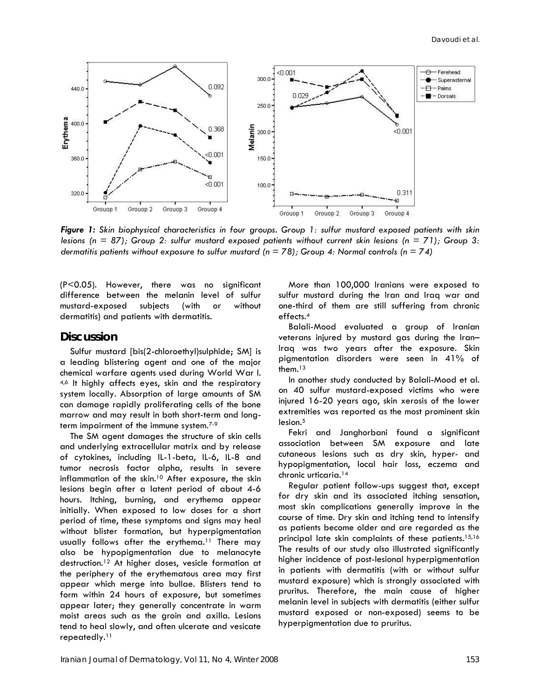

*Figure 1: Skin biophysical characteristics in four groups. Group 1: sulfur mustard exposed patients with skin lesions (n = 87); Group 2: sulfur mustard exposed patients without current skin lesions (n = 71); Group 3: dermatitis patients without exposure to sulfur mustard (n = 78); Group 4: Normal controls (n = 74)*

(P<0.05). However, there was no significant difference between the melanin level of sulfur mustard-exposed subjects (with or without dermatitis) and patients with dermatitis.

#### **Discussion**

Sulfur mustard [bis(2-chloroethyl)sulphide; SM] is a leading blistering agent and one of the major chemical warfare agents used during World War I. 4,6 It highly affects eyes, skin and the respiratory system locally. Absorption of large amounts of SM can damage rapidly proliferating cells of the bone marrow and may result in both short-term and longterm impairment of the immune system.7-9

The SM agent damages the structure of skin cells and underlying extracellular matrix and by release of cytokines, including IL-1-beta, IL-6, IL-8 and tumor necrosis factor alpha, results in severe inflammation of the skin.10 After exposure, the skin lesions begin after a latent period of about 4-6 hours. Itching, burning, and erythema appear initially. When exposed to low doses for a short period of time, these symptoms and signs may heal without blister formation, but hyperpigmentation usually follows after the erythema.<sup>11</sup> There may also be hypopigmentation due to melanocyte destruction.12 At higher doses, vesicle formation at the periphery of the erythematous area may first appear which merge into bullae. Blisters tend to form within 24 hours of exposure, but sometimes appear later; they generally concentrate in warm moist areas such as the groin and axilla. Lesions tend to heal slowly, and often ulcerate and vesicate repeatedly.11

More than 100,000 Iranians were exposed to sulfur mustard during the Iran and Iraq war and one-third of them are still suffering from chronic effects.4

Balali-Mood evaluated a group of Iranian veterans injured by mustard gas during the Iran– Iraq was two years after the exposure. Skin pigmentation disorders were seen in 41% of them.13

In another study conducted by Balali-Mood et al. on 40 sulfur mustard-exposed victims who were injured 16-20 years ago, skin xerosis of the lower extremities was reported as the most prominent skin  $lesion.<sup>5</sup>$ 

Fekri and Janghorbani found a significant association between SM exposure and late cutaneous lesions such as dry skin, hyper- and hypopigmentation, local hair loss, eczema and chronic urticaria.14

Regular patient follow-ups suggest that, except for dry skin and its associated itching sensation, most skin complications generally improve in the course of time. Dry skin and itching tend to intensify as patients become older and are regarded as the principal late skin complaints of these patients.<sup>15,16</sup> The results of our study also illustrated significantly higher incidence of post-lesional hyperpigmentation in patients with dermatitis (with or without sulfur mustard exposure) which is strongly associated with pruritus. Therefore, the main cause of higher melanin level in subjects with dermatitis (either sulfur mustard exposed or non-exposed) seems to be hyperpigmentation due to pruritus.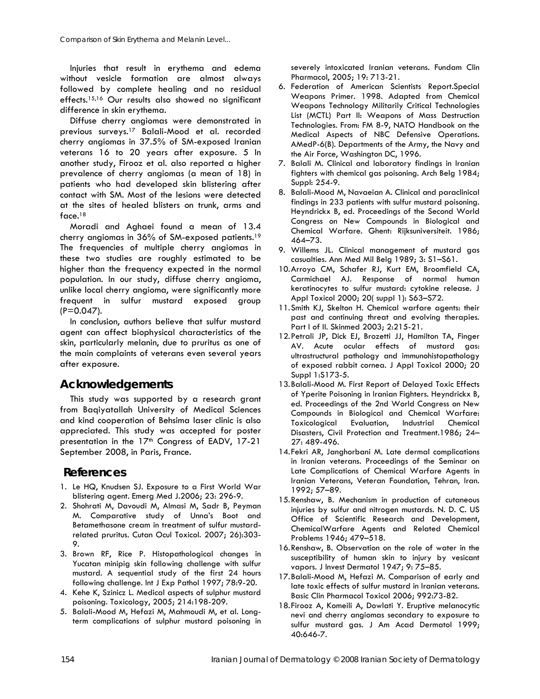Injuries that result in erythema and edema without vesicle formation are almost always followed by complete healing and no residual effects.15,16 Our results also showed no significant difference in skin erythema.

Diffuse cherry angiomas were demonstrated in previous surveys.17 Balali-Mood et al. recorded cherry angiomas in 37.5% of SM-exposed Iranian veterans 16 to 20 years after exposure. 5 In another study, Firooz et al. also reported a higher prevalence of cherry angiomas (a mean of 18) in patients who had developed skin blistering after contact with SM. Most of the lesions were detected at the sites of healed blisters on trunk, arms and face.18

Moradi and Aghaei found a mean of 13.4 cherry angiomas in 36% of SM-exposed patients.19 The frequencies of multiple cherry angiomas in these two studies are roughly estimated to be higher than the frequency expected in the normal population. In our study, diffuse cherry angioma, unlike local cherry angioma, were significantly more frequent in sulfur mustard exposed group (P=0.047).

In conclusion, authors believe that sulfur mustard agent can affect biophysical characteristics of the skin, particularly melanin, due to pruritus as one of the main complaints of veterans even several years after exposure.

## **Acknowledgements**

This study was supported by a research grant from Baqiyatallah University of Medical Sciences and kind cooperation of Behsima laser clinic is also appreciated. This study was accepted for poster presentation in the 17<sup>th</sup> Congress of EADV, 17-21 September 2008, in Paris, France.

## **References**

- 1. Le HQ, Knudsen SJ. Exposure to a First World War blistering agent. Emerg Med J.2006; 23: 296-9.
- 2. Shohrati M, Davoudi M, Almasi M, Sadr B, Peyman M. Comparative study of Unna's Boot and Betamethasone cream in treatment of sulfur mustardrelated pruritus. Cutan Ocul Toxicol. 2007; 26):303- 9.
- 3. Brown RF, Rice P. Histopathological changes in Yucatan minipig skin following challenge with sulfur mustard. A sequential study of the first 24 hours following challenge. Int J Exp Pathol 1997; 78:9-20.
- 4. Kehe K, Szinicz L. Medical aspects of sulphur mustard poisoning. Toxicology, 2005; 214:198-209.
- 5. Balali-Mood M, Hefazi M, Mahmoudi M, et al. Longterm complications of sulphur mustard poisoning in

severely intoxicated Iranian veterans. Fundam Clin Pharmacol, 2005; 19: 713-21.

- 6. Federation of American Scientists Report.Special Weapons Primer. 1998. Adapted from Chemical Weapons Technology Militarily Critical Technologies List (MCTL) Part II: Weapons of Mass Destruction Technologies. From: FM 8-9, NATO Handbook on the Medical Aspects of NBC Defensive Operations. AMedP-6(B). Departments of the Army, the Navy and the Air Force, Washington DC, 1996.
- 7. Balali M. Clinical and laboratory findings in Iranian fighters with chemical gas poisoning. Arch Belg 1984; Suppl: 254-9.
- 8. Balali-Mood M, Navaeian A. Clinical and paraclinical findings in 233 patients with sulfur mustard poisoning. Heyndrickx B, ed. Proceedings of the Second World Congress on New Compounds in Biological and Chemical Warfare. Ghent: Rijksuniversiteit. 1986; 464–73.
- 9. Willems JL. Clinical management of mustard gas casualties. Ann Med Mil Belg 1989; 3: S1–S61.
- 10.Arroyo CM, Schafer RJ, Kurt EM, Broomfield CA, Carmichael AJ. Response of normal human keratinocytes to sulfur mustard: cytokine release. J Appl Toxicol 2000; 20( suppl 1): S63–S72.
- 11.Smith KJ, Skelton H. Chemical warfare agents: their past and continuing threat and evolving therapies. Part I of II. Skinmed 2003; 2:215-21.
- 12.Petrali JP, Dick EJ, Brozetti JJ, Hamilton TA, Finger AV. Acute ocular effects of mustard gas: ultrastructural pathology and immunohistopathology of exposed rabbit cornea. J Appl Toxicol 2000; 20 Suppl 1:S173-5.
- 13.Balali-Mood M. First Report of Delayed Toxic Effects of Yperite Poisoning in Iranian Fighters. Heyndrickx B, ed. Proceedings of the 2nd World Congress on New Compounds in Biological and Chemical Warfare: Toxicological Evaluation, Industrial Chemical Disasters, Civil Protection and Treatment.1986; 24– 27: 489-496.
- 14.Fekri AR, Janghorbani M. Late dermal complications in Iranian veterans. Proceedings of the Seminar on Late Complications of Chemical Warfare Agents in Iranian Veterans, Veteran Foundation, Tehran, Iran. 1992; 57–89.
- 15.Renshaw, B. Mechanism in production of cutaneous injuries by sulfur and nitrogen mustards. N. D. C. US Office of Scientific Research and Development, ChemicalWarfare Agents and Related Chemical Problems 1946; 479–518.
- 16.Renshaw, B. Observation on the role of water in the susceptibility of human skin to injury by vesicant vapors. J Invest Dermatol 1947; 9: 75–85.
- 17.Balali-Mood M, Hefazi M. Comparison of early and late toxic effects of sulfur mustard in Iranian veterans. Basic Clin Pharmacol Toxicol 2006; 992:73-82.
- 18.Firooz A, Komeili A, Dowlati Y. Eruptive melanocytic nevi and cherry angiomas secondary to exposure to sulfur mustard gas. J Am Acad Dermatol 1999; 40:646-7.